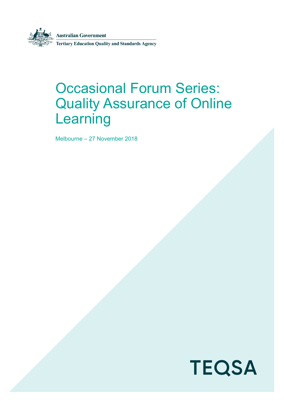

**Australian Government** 

**Tertiary Education Quality and Standards Agency** 

# Occasional Forum Series: Quality Assurance of Online Learning

Melbourne – 27 November 2018

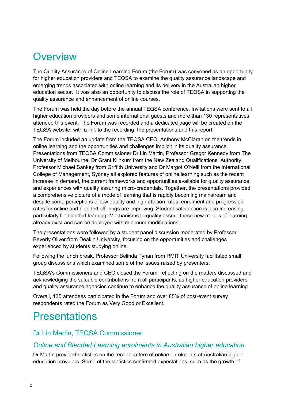## **Overview**

The Quality Assurance of Online Learning Forum (the Forum) was convened as an opportunity for higher education providers and TEQSA to examine the quality assurance landscape and emerging trends associated with online learning and its delivery in the Australian higher education sector. It was also an opportunity to discuss the role of TEQSA in supporting the quality assurance and enhancement of online courses.

The Forum was held the day before the annual TEQSA conference. Invitations were sent to all higher education providers and some international guests and more than 130 representatives attended this event. The Forum was recorded and a dedicated page will be created on the TEQSA website, with a link to the recording, the presentations and this report.

The Forum included an update from the TEQSA CEO, Anthony McClaran on the trends in online learning and the opportunities and challenges implicit in its quality assurance. Presentations from TEQSA Commissioner Dr Lin Martin, Professor Gregor Kennedy from The University of Melbourne, Dr Grant Klinkum from the New Zealand Qualifications Authority, Professor Michael Sankey from Griffith University and Dr Margot O'Neill from the International College of Management, Sydney all explored features of online learning such as the recent increase in demand, the current frameworks and opportunities available for quality assurance and experiences with quality assuring micro-credentials. Together, the presentations provided a comprehensive picture of a mode of learning that is rapidly becoming mainstream and despite some perceptions of low quality and high attrition rates, enrolment and progression rates for online and blended offerings are improving. Student satisfaction is also increasing, particularly for blended learning. Mechanisms to quality assure these new modes of learning already exist and can be deployed with minimum modifications.

The presentations were followed by a student panel discussion moderated by Professor Beverly Oliver from Deakin University, focusing on the opportunities and challenges experienced by students studying online.

Following the lunch break, Professor Belinda Tynan from RMIT University facilitated small group discussions which examined some of the issues raised by presenters.

TEQSA's Commissioners and CEO closed the Forum, reflecting on the matters discussed and acknowledging the valuable contributions from all participants, as higher education providers and quality assurance agencies continue to enhance the quality assurance of online learning.

Overall, 135 attendees participated in the Forum and over 85% of post-event survey respondents rated the Forum as Very Good or Excellent.

# Presentations

#### Dr Lin Martin, TEQSA Commissioner

#### *Online and Blended Learning enrolments in Australian higher education*

Dr Martin provided statistics on the recent pattern of online enrolments at Australian higher education providers. Some of the statistics confirmed expectations, such as the growth of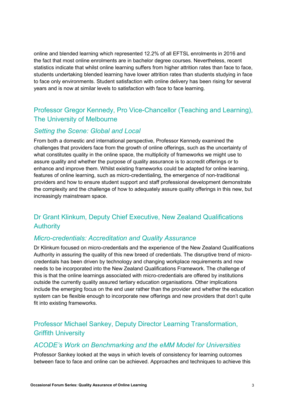online and blended learning which represented 12.2% of all EFTSL enrolments in 2016 and the fact that most online enrolments are in bachelor degree courses. Nevertheless, recent statistics indicate that whilst online learning suffers from higher attrition rates than face to face, students undertaking blended learning have lower attrition rates than students studying in face to face only environments. Student satisfaction with online delivery has been rising for several years and is now at similar levels to satisfaction with face to face learning.

### Professor Gregor Kennedy, Pro Vice-Chancellor (Teaching and Learning), The University of Melbourne

#### *Setting the Scene: Global and Local*

From both a domestic and international perspective, Professor Kennedy examined the challenges that providers face from the growth of online offerings, such as the uncertainty of what constitutes quality in the online space, the multiplicity of frameworks we might use to assure quality and whether the purpose of quality assurance is to accredit offerings or to enhance and improve them. Whilst existing frameworks could be adapted for online learning, features of online learning, such as micro-credentialing, the emergence of non-traditional providers and how to ensure student support and staff professional development demonstrate the complexity and the challenge of how to adequately assure quality offerings in this new, but increasingly mainstream space.

### Dr Grant Klinkum, Deputy Chief Executive, New Zealand Qualifications **Authority**

#### *Micro-credentials: Accreditation and Quality Assurance*

Dr Klinkum focused on micro-credentials and the experience of the New Zealand Qualifications Authority in assuring the quality of this new breed of credentials. The disruptive trend of microcredentials has been driven by technology and changing workplace requirements and now needs to be incorporated into the New Zealand Qualifications Framework. The challenge of this is that the online learnings associated with micro-credentials are offered by institutions outside the currently quality assured tertiary education organisations. Other implications include the emerging focus on the end user rather than the provider and whether the education system can be flexible enough to incorporate new offerings and new providers that don't quite fit into existing frameworks.

### Professor Michael Sankey, Deputy Director Learning Transformation, Griffith University

#### *ACODE's Work on Benchmarking and the eMM Model for Universities*

Professor Sankey looked at the ways in which levels of consistency for learning outcomes between face to face and online can be achieved. Approaches and techniques to achieve this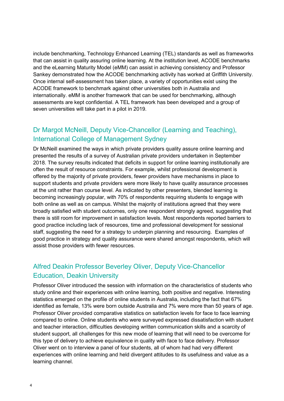include benchmarking, Technology Enhanced Learning (TEL) standards as well as frameworks that can assist in quality assuring online learning. At the institution level, ACODE benchmarks and the eLearning Maturity Model (eMM) can assist in achieving consistency and Professor Sankey demonstrated how the ACODE benchmarking activity has worked at Griffith University. Once internal self-assessment has taken place, a variety of opportunities exist using the ACODE framework to benchmark against other universities both in Australia and internationally. eMM is another framework that can be used for benchmarking, although assessments are kept confidential. A TEL framework has been developed and a group of seven universities will take part in a pilot in 2019.

#### Dr Margot McNeill, Deputy Vice-Chancellor (Learning and Teaching), International College of Management Sydney

Dr McNeill examined the ways in which private providers quality assure online learning and presented the results of a survey of Australian private providers undertaken in September 2018. The survey results indicated that deficits in support for online learning institutionally are often the result of resource constraints. For example, whilst professional development is offered by the majority of private providers, fewer providers have mechanisms in place to support students and private providers were more likely to have quality assurance processes at the unit rather than course level. As indicated by other presenters, blended learning is becoming increasingly popular, with 70% of respondents requiring students to engage with both online as well as on campus. Whilst the majority of institutions agreed that they were broadly satisfied with student outcomes, only one respondent strongly agreed, suggesting that there is still room for improvement in satisfaction levels. Most respondents reported barriers to good practice including lack of resources, time and professional development for sessional staff, suggesting the need for a strategy to underpin planning and resourcing. Examples of good practice in strategy and quality assurance were shared amongst respondents, which will assist those providers with fewer resources.

#### Alfred Deakin Professor Beverley Oliver, Deputy Vice-Chancellor Education, Deakin University

Professor Oliver introduced the session with information on the characteristics of students who study online and their experiences with online learning, both positive and negative. Interesting statistics emerged on the profile of online students in Australia, including the fact that 67% identified as female, 13% were born outside Australia and 7% were more than 50 years of age. Professor Oliver provided comparative statistics on satisfaction levels for face to face learning compared to online. Online students who were surveyed expressed dissatisfaction with student and teacher interaction, difficulties developing written communication skills and a scarcity of student support, all challenges for this new mode of learning that will need to be overcome for this type of delivery to achieve equivalence in quality with face to face delivery. Professor Oliver went on to interview a panel of four students, all of whom had had very different experiences with online learning and held divergent attitudes to its usefulness and value as a learning channel.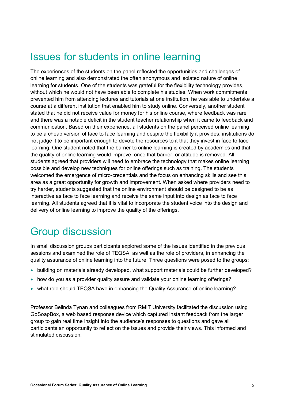## Issues for students in online learning

The experiences of the students on the panel reflected the opportunities and challenges of online learning and also demonstrated the often anonymous and isolated nature of online learning for students. One of the students was grateful for the flexibility technology provides, without which he would not have been able to complete his studies. When work commitments prevented him from attending lectures and tutorials at one institution, he was able to undertake a course at a different institution that enabled him to study online. Conversely, another student stated that he did not receive value for money for his online course, where feedback was rare and there was a notable deficit in the student teacher relationship when it came to feedback and communication. Based on their experience, all students on the panel perceived online learning to be a cheap version of face to face learning and despite the flexibility it provides, institutions do not judge it to be important enough to devote the resources to it that they invest in face to face learning. One student noted that the barrier to online learning is created by academics and that the quality of online learning would improve, once that barrier, or attitude is removed. All students agreed that providers will need to embrace the technology that makes online learning possible and develop new techniques for online offerings such as training. The students welcomed the emergence of micro-credentials and the focus on enhancing skills and see this area as a great opportunity for growth and improvement. When asked where providers need to try harder, students suggested that the online environment should be designed to be as interactive as face to face learning and receive the same input into design as face to face learning. All students agreed that it is vital to incorporate the student voice into the design and delivery of online learning to improve the quality of the offerings.

## Group discussion

In small discussion groups participants explored some of the issues identified in the previous sessions and examined the role of TEQSA, as well as the role of providers, in enhancing the quality assurance of online learning into the future. Three questions were posed to the groups:

- building on materials already developed, what support materials could be further developed?
- how do you as a provider quality assure and validate your online learning offerings?
- what role should TEQSA have in enhancing the Quality Assurance of online learning?

Professor Belinda Tynan and colleagues from RMIT University facilitated the discussion using GoSoapBox, a web based response device which captured instant feedback from the larger group to gain real time insight into the audience's responses to questions and gave all participants an opportunity to reflect on the issues and provide their views. This informed and stimulated discussion.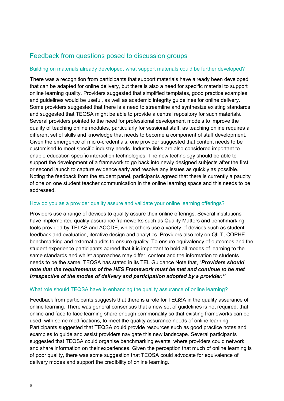#### Feedback from questions posed to discussion groups

#### Building on materials already developed, what support materials could be further developed?

There was a recognition from participants that support materials have already been developed that can be adapted for online delivery, but there is also a need for specific material to support online learning quality. Providers suggested that simplified templates, good practice examples and guidelines would be useful, as well as academic integrity guidelines for online delivery. Some providers suggested that there is a need to streamline and synthesize existing standards and suggested that TEQSA might be able to provide a central repository for such materials. Several providers pointed to the need for professional development models to improve the quality of teaching online modules, particularly for sessional staff, as teaching online requires a different set of skills and knowledge that needs to become a component of staff development. Given the emergence of micro-credentials, one provider suggested that content needs to be customised to meet specific industry needs. Industry links are also considered important to enable education specific interaction technologies. The new technology should be able to support the development of a framework to go back into newly designed subjects after the first or second launch to capture evidence early and resolve any issues as quickly as possible. Noting the feedback from the student panel, participants agreed that there is currently a paucity of one on one student teacher communication in the online learning space and this needs to be addressed.

#### How do you as a provider quality assure and validate your online learning offerings?

Providers use a range of devices to quality assure their online offerings. Several institutions have implemented quality assurance frameworks such as Quality Matters and benchmarking tools provided by TELAS and ACODE, whilst others use a variety of devices such as student feedback and evaluation, iterative design and analytics. Providers also rely on QILT, COPHE benchmarking and external audits to ensure quality. To ensure equivalency of outcomes and the student experience participants agreed that it is important to hold all modes of learning to the same standards and whilst approaches may differ, content and the information to students needs to be the same. TEQSA has stated in its TEL Guidance Note that, "*Providers should note that the requirements of the HES Framework must be met and continue to be met irrespective of the modes of delivery and participation adopted by a provider."* 

#### What role should TEQSA have in enhancing the quality assurance of online learning?

Feedback from participants suggests that there is a role for TEQSA in the quality assurance of online learning. There was general consensus that a new set of guidelines is not required, that online and face to face learning share enough commonality so that existing frameworks can be used, with some modifications, to meet the quality assurance needs of online learning. Participants suggested that TEQSA could provide resources such as good practice notes and examples to guide and assist providers navigate this new landscape. Several participants suggested that TEQSA could organise benchmarking events, where providers could network and share information on their experiences. Given the perception that much of online learning is of poor quality, there was some suggestion that TEQSA could advocate for equivalence of delivery modes and support the credibility of online learning.